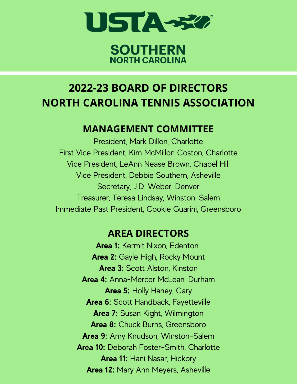

### **SOUTHERN NORTH CAROLINA**

# **2022-23 BOARD OF DIRECTORS NORTH CAROLINA TENNIS ASSOCIATION**

### **MANAGEMENT COMMITTEE**

President, Mark Dillon, Charlotte First Vice President, Kim McMillon Coston, Charlotte Vice President, LeAnn Nease Brown, Chapel Hill Vice President, Debbie Southern, Asheville Secretary, J.D. Weber, Denver Treasurer, Teresa Lindsay, Winston-Salem Immediate Past President, Cookie Guarini, Greensboro

## **AREA DIRECTORS**

**Area 1:** Kermit Nixon, Edenton **Area 2:** Gayle High, Rocky Mount **Area 3:** Scott Alston, Kinston **Area 4:** Anna-Mercer McLean, Durham **Area 5:** Holly Haney, Cary **Area 6:** Scott Handback, Fayetteville **Area 7:** Susan Kight, Wilmington **Area 8:** Chuck Burns, Greensboro **Area 9:** Amy Knudson, Winston-Salem **Area 10:** Deborah Foster-Smith, Charlotte **Area 11:** Hani Nasar, Hickory **Area 12:** Mary Ann Meyers, Asheville